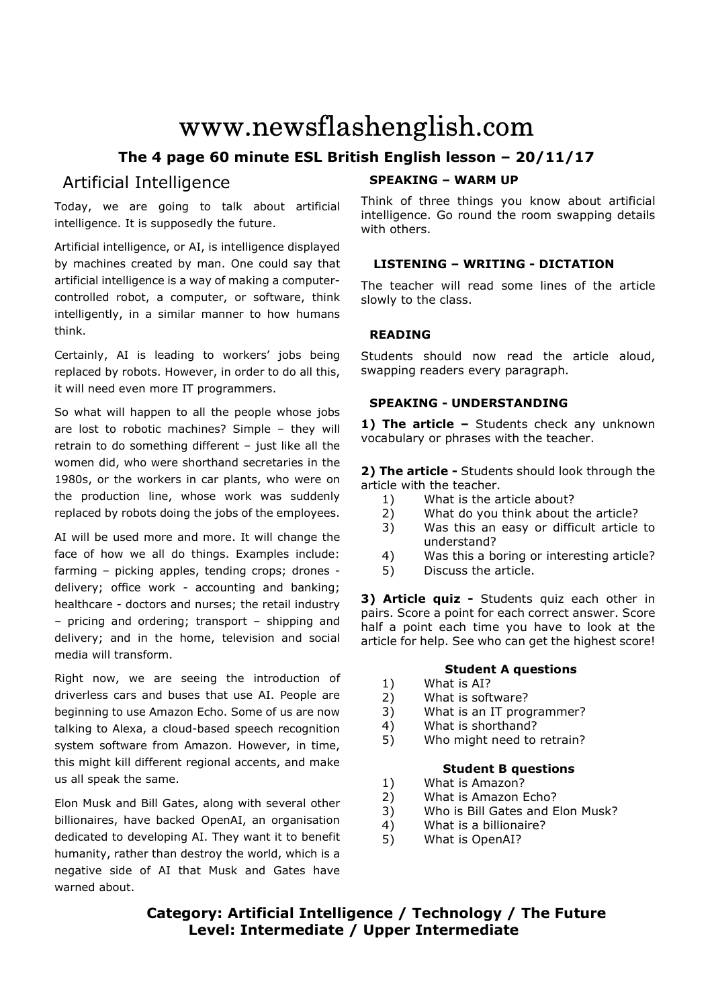# www.newsflashenglish.com

# **The 4 page 60 minute ESL British English lesson – 20/11/17**

# Artificial Intelligence

Today, we are going to talk about artificial intelligence. It is supposedly the future.

Artificial intelligence, or AI, is intelligence displayed by machines created by man. One could say that artificial intelligence is a way of making a computercontrolled robot, a computer, or software, think intelligently, in a similar manner to how humans think.

Certainly, AI is leading to workers' jobs being replaced by robots. However, in order to do all this, it will need even more IT programmers.

So what will happen to all the people whose jobs are lost to robotic machines? Simple – they will retrain to do something different - just like all the women did, who were shorthand secretaries in the 1980s, or the workers in car plants, who were on the production line, whose work was suddenly replaced by robots doing the jobs of the employees.

AI will be used more and more. It will change the face of how we all do things. Examples include: farming – picking apples, tending crops; drones delivery; office work - accounting and banking; healthcare - doctors and nurses; the retail industry – pricing and ordering; transport – shipping and delivery; and in the home, television and social media will transform.

Right now, we are seeing the introduction of driverless cars and buses that use AI. People are beginning to use Amazon Echo. Some of us are now talking to Alexa, a cloud-based speech recognition system software from Amazon. However, in time, this might kill different regional accents, and make us all speak the same.

Elon Musk and Bill Gates, along with several other billionaires, have backed OpenAI, an organisation dedicated to developing AI. They want it to benefit humanity, rather than destroy the world, which is a negative side of AI that Musk and Gates have warned about.

# **SPEAKING – WARM UP**

Think of three things you know about artificial intelligence. Go round the room swapping details with others.

# **LISTENING – WRITING - DICTATION**

The teacher will read some lines of the article slowly to the class.

# **READING**

Students should now read the article aloud, swapping readers every paragraph.

# **SPEAKING - UNDERSTANDING**

1) The article - Students check any unknown vocabulary or phrases with the teacher.

**2) The article -** Students should look through the article with the teacher.

- 1) What is the article about?
- 2) What do you think about the article?
- 3) Was this an easy or difficult article to understand?
- 4) Was this a boring or interesting article?
- 5) Discuss the article.

**3) Article quiz -** Students quiz each other in pairs. Score a point for each correct answer. Score half a point each time you have to look at the article for help. See who can get the highest score!

# **Student A questions**

- 1) What is AI?
- 2) What is software?
- 3) What is an IT programmer?
- 4) What is shorthand?
- 5) Who might need to retrain?

### **Student B questions**

- 1) What is Amazon?
- 2) What is Amazon Echo?
- 3) Who is Bill Gates and Elon Musk?
- 4) What is a billionaire?
- 5) What is OpenAI?

# **Category: Artificial Intelligence / Technology / The Future Level: Intermediate / Upper Intermediate**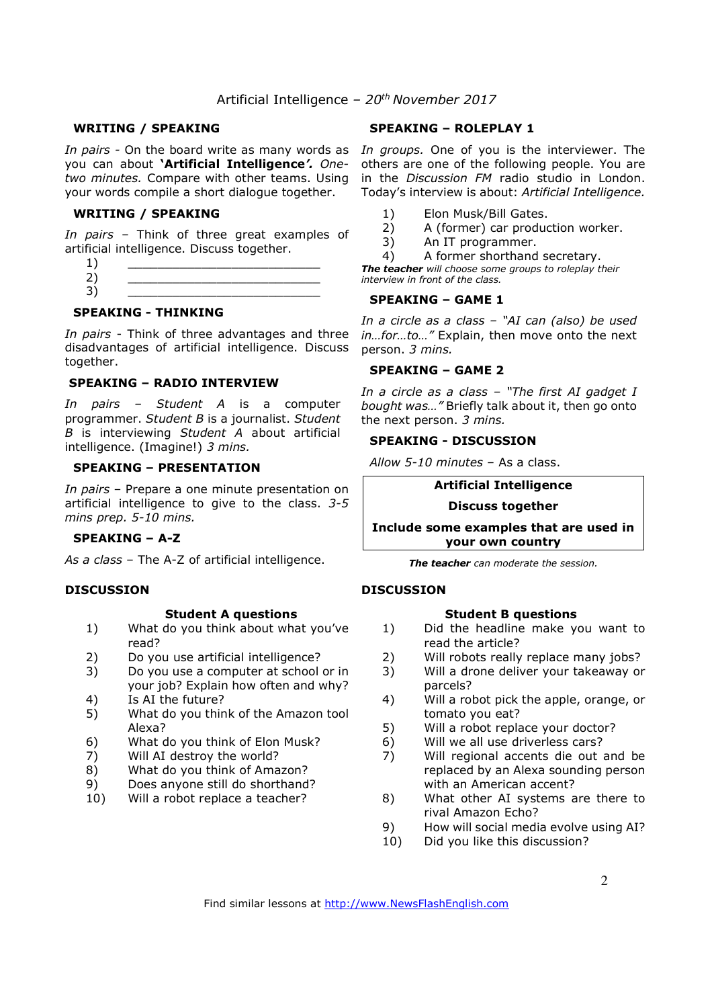# Artificial Intelligence *– 20th November 2017*

#### **WRITING / SPEAKING**

you can about **'Artificial Intelligence***'. Onetwo minutes.* Compare with other teams. Using your words compile a short dialogue together.

#### **WRITING / SPEAKING**

*In pairs* – Think of three great examples of artificial intelligence. Discuss together.

 $1)$   $\qquad \qquad$ 2) \_\_\_\_\_\_\_\_\_\_\_\_\_\_\_\_\_\_\_\_\_\_\_\_\_\_ 3) \_\_\_\_\_\_\_\_\_\_\_\_\_\_\_\_\_\_\_\_\_\_\_\_\_\_

#### **SPEAKING - THINKING**

*In pairs* - Think of three advantages and three disadvantages of artificial intelligence. Discuss together.

#### **SPEAKING – RADIO INTERVIEW**

*In pairs – Student A* is a computer programmer. *Student B* is a journalist. *Student B* is interviewing *Student A* about artificial intelligence. (Imagine!) *3 mins.* 

### **SPEAKING – PRESENTATION**

*In pairs* – Prepare a one minute presentation on artificial intelligence to give to the class. *3-5 mins prep. 5-10 mins.* 

#### **SPEAKING – A-Z**

*As a class* – The A-Z of artificial intelligence.

#### **DISCUSSION**

#### **Student A questions**

- 1) What do you think about what you've read?
- 2) Do you use artificial intelligence?
- 3) Do you use a computer at school or in your job? Explain how often and why?
- 4) Is AI the future?
- 5) What do you think of the Amazon tool Alexa?
- 6) What do you think of Elon Musk?
- 7) Will AI destroy the world?
- 8) What do you think of Amazon?
- 9) Does anyone still do shorthand?
- 10) Will a robot replace a teacher?

#### **SPEAKING – ROLEPLAY 1**

In pairs - On the board write as many words as In groups. One of you is the interviewer. The others are one of the following people. You are in the *Discussion FM* radio studio in London. Today's interview is about: *Artificial Intelligence.*

- 
- 1) Elon Musk/Bill Gates.<br>2) A (former) car produc A (former) car production worker.
- 3) An IT programmer.
- 4) A former shorthand secretary.

*The teacher will choose some groups to roleplay their interview in front of the class.* 

#### **SPEAKING – GAME 1**

*In a circle as a class – "AI can (also) be used in…for…to…"* Explain, then move onto the next person. *3 mins.* 

#### **SPEAKING – GAME 2**

*In a circle as a class – "The first AI gadget I bought was…"* Briefly talk about it, then go onto the next person. *3 mins.* 

#### **SPEAKING - DISCUSSION**

*Allow 5-10 minutes* – As a class.

#### **Artificial Intelligence**

#### **Discuss together**

**Include some examples that are used in your own country** 

*The teacher can moderate the session.*

#### **DISCUSSION**

#### **Student B questions**

- 1) Did the headline make you want to read the article?
- 2) Will robots really replace many jobs?
- 3) Will a drone deliver your takeaway or parcels?
- 4) Will a robot pick the apple, orange, or tomato you eat?
- 5) Will a robot replace your doctor?
- 6) Will we all use driverless cars?
- 7) Will regional accents die out and be replaced by an Alexa sounding person with an American accent?
- 8) What other AI systems are there to rival Amazon Echo?
- 9) How will social media evolve using AI?
- 10) Did you like this discussion?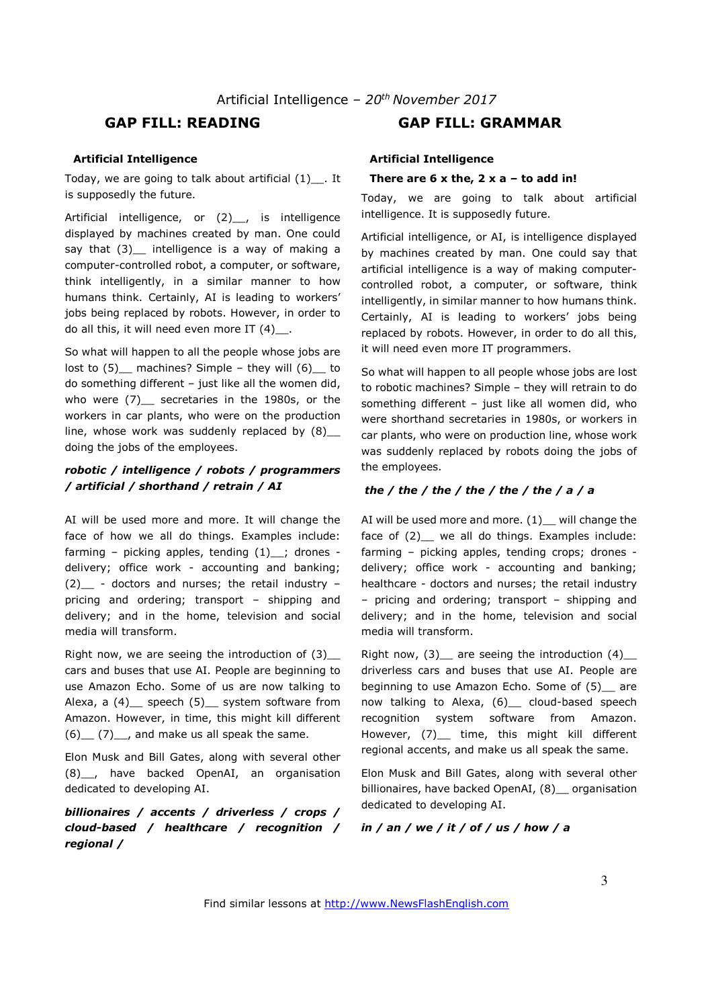# **GAP FILL: READING GAP FILL: GRAMMAR**

#### **Artificial Intelligence**

Today, we are going to talk about artificial (1)\_\_. It is supposedly the future.

Artificial intelligence, or (2) , is intelligence displayed by machines created by man. One could say that  $(3)$  intelligence is a way of making a computer-controlled robot, a computer, or software, think intelligently, in a similar manner to how humans think. Certainly, AI is leading to workers' jobs being replaced by robots. However, in order to do all this, it will need even more IT (4)\_\_.

So what will happen to all the people whose jobs are lost to  $(5)$  machines? Simple - they will  $(6)$  to do something different – just like all the women did, who were (7) secretaries in the 1980s, or the workers in car plants, who were on the production line, whose work was suddenly replaced by  $(8)$ doing the jobs of the employees.

# *robotic / intelligence / robots / programmers / artificial / shorthand / retrain / AI*

AI will be used more and more. It will change the face of how we all do things. Examples include: farming – picking apples, tending  $(1)$  ; drones delivery; office work - accounting and banking; (2) - doctors and nurses; the retail industry – pricing and ordering; transport – shipping and delivery; and in the home, television and social media will transform.

Right now, we are seeing the introduction of (3)\_\_ cars and buses that use AI. People are beginning to use Amazon Echo. Some of us are now talking to Alexa, a (4) speech (5) system software from Amazon. However, in time, this might kill different  $(6)$   $(7)$ , and make us all speak the same.

Elon Musk and Bill Gates, along with several other (8)\_\_, have backed OpenAI, an organisation dedicated to developing AI.

*billionaires / accents / driverless / crops / cloud-based / healthcare / recognition / regional /* 

#### **Artificial Intelligence**

#### **There are 6 x the, 2 x a – to add in!**

Today, we are going to talk about artificial intelligence. It is supposedly future.

Artificial intelligence, or AI, is intelligence displayed by machines created by man. One could say that artificial intelligence is a way of making computercontrolled robot, a computer, or software, think intelligently, in similar manner to how humans think. Certainly, AI is leading to workers' jobs being replaced by robots. However, in order to do all this, it will need even more IT programmers.

So what will happen to all people whose jobs are lost to robotic machines? Simple – they will retrain to do something different – just like all women did, who were shorthand secretaries in 1980s, or workers in car plants, who were on production line, whose work was suddenly replaced by robots doing the jobs of the employees.

#### *the / the / the / the / the / the / a / a*

AI will be used more and more.  $(1)$  will change the face of (2) we all do things. Examples include: farming – picking apples, tending crops; drones delivery; office work - accounting and banking; healthcare - doctors and nurses; the retail industry – pricing and ordering; transport – shipping and delivery; and in the home, television and social media will transform.

Right now,  $(3)$  are seeing the introduction  $(4)$ driverless cars and buses that use AI. People are beginning to use Amazon Echo. Some of (5) are now talking to Alexa, (6) cloud-based speech recognition system software from Amazon. However, (7) time, this might kill different regional accents, and make us all speak the same.

Elon Musk and Bill Gates, along with several other billionaires, have backed OpenAI, (8) organisation dedicated to developing AI.

#### *in / an / we / it / of / us / how / a*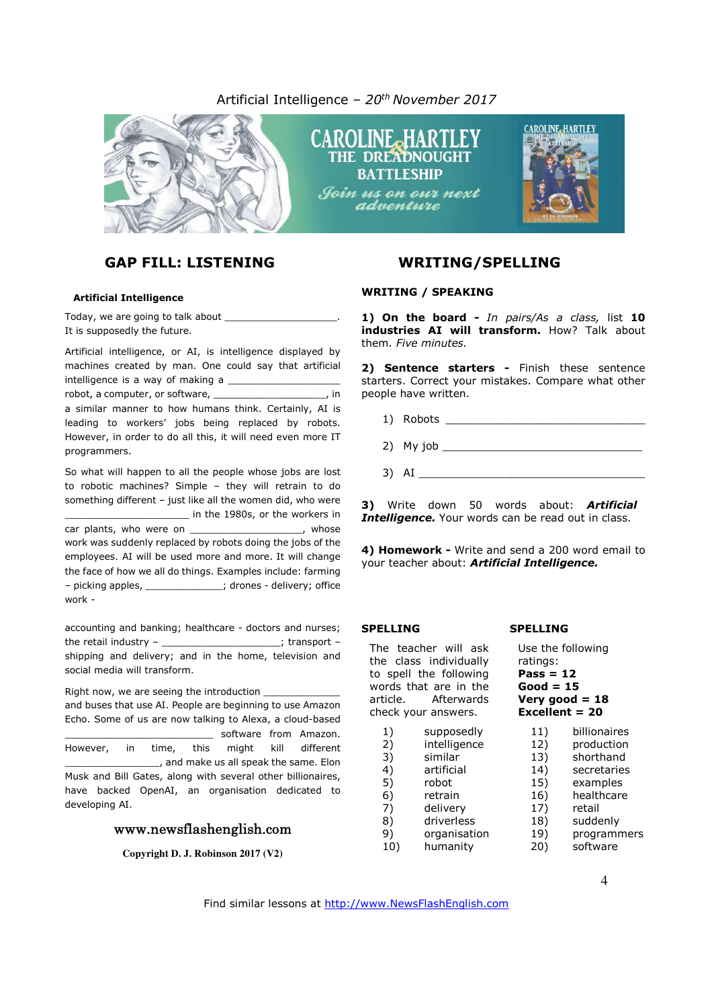# Artificial Intelligence *– 20th November 2017*





#### **Artificial Intelligence**

Today, we are going to talk about It is supposedly the future.

Artificial intelligence, or AI, is intelligence displayed by machines created by man. One could say that artificial intelligence is a way of making a

robot, a computer, or software, \_\_\_\_\_\_\_\_\_\_\_\_\_\_\_\_\_\_\_\_\_, in a similar manner to how humans think. Certainly, AI is leading to workers' jobs being replaced by robots. However, in order to do all this, it will need even more IT programmers.

So what will happen to all the people whose jobs are lost to robotic machines? Simple – they will retrain to do something different – just like all the women did, who were \_\_\_\_\_\_\_\_\_\_\_\_\_\_\_\_\_\_\_\_\_ in the 1980s, or the workers in car plants, who were on \_\_\_\_\_\_\_\_\_\_\_\_\_\_\_\_\_\_\_\_\_, whose work was suddenly replaced by robots doing the jobs of the employees. AI will be used more and more. It will change the face of how we all do things. Examples include: farming – picking apples, \_\_\_\_\_\_\_\_\_\_\_\_\_; drones - delivery; office work -

accounting and banking; healthcare - doctors and nurses; the retail industry – the retail industry – the retail industry – the set of  $\sim$  set of  $\sim$  set of  $\sim$  set of  $\sim$  set of  $\sim$  set of  $\sim$  set of  $\sim$  set of  $\sim$  set of  $\sim$  set of  $\sim$  set of  $\sim$  set of  $\sim$  set of shipping and delivery; and in the home, television and social media will transform.

Right now, we are seeing the introduction and buses that use AI. People are beginning to use Amazon Echo. Some of us are now talking to Alexa, a cloud-based software from Amazon. However, in time, this might kill different  $\Box$ , and make us all speak the same. Elon Musk and Bill Gates, along with several other billionaires, have backed OpenAI, an organisation dedicated to developing AI.

#### www.newsflashenglish.com

**Copyright D. J. Robinson 2017 (V2)** 

#### **WRITING / SPEAKING**

**1) On the board -** *In pairs/As a class,* list **10 industries AI will transform.** How? Talk about them. *Five minutes.*

CAROLINE<sub>-</sub>HARTI EV

**2) Sentence starters -** Finish these sentence starters. Correct your mistakes. Compare what other people have written.

- 1) Robots \_\_\_\_\_\_\_\_\_\_\_\_\_\_\_\_\_\_\_\_\_\_\_\_\_\_\_\_\_\_
- $2)$  My job  $\overline{\phantom{a}}$
- $3)$  AI

**3)** Write down 50 words about: *Artificial Intelligence.* Your words can be read out in class.

**4) Homework -** Write and send a 200 word email to your teacher about: *Artificial Intelligence.* 

#### **SPELLING**

The teacher will ask the class individually to spell the following words that are in the article. Afterwards check your answers.

- 1) supposedly
- 2) intelligence<br>3) similar 3) similar
- 4) artificial
- 5) robot
- 6) retrain<br>7) delivery
- delivery
- 8) driverless
- 9) organisation
- 10) humanity

#### **SPELLING**

Use the following ratings: **Pass = 12 Good = 15 Very good = 18 Excellent = 20** 

- 11) billionaires
- 12) production<br>13) shorthand shorthand
- 14) secretaries
- 15) examples
- 16) healthcare
- 17) retail
- 18) suddenly
- 19) programmers
- 20) software

Find similar lessons at http://www.NewsFlashEnglish.com